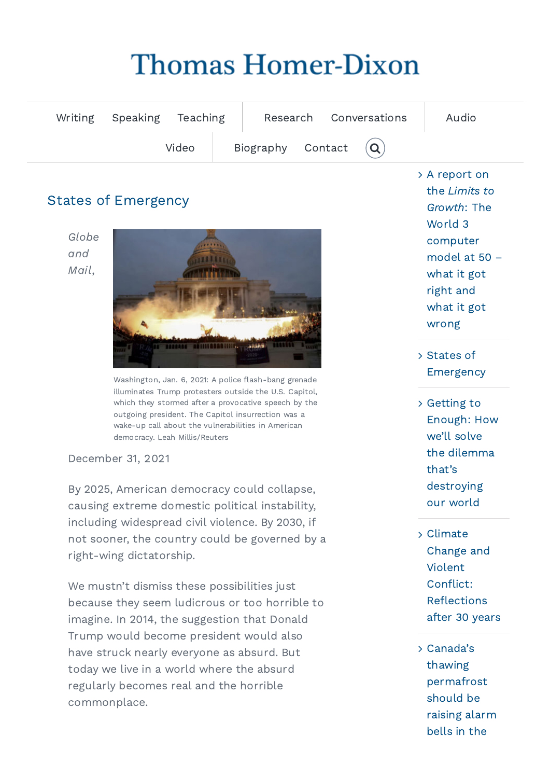# **Thomas Homer-Dixon**

| Writing Speaking Teaching |                                              | Research Conversations | Audio |
|---------------------------|----------------------------------------------|------------------------|-------|
| Video                     | Biography Contact $\left( \mathbf{Q}\right)$ |                        |       |

## States of Emergency

Globe and Mail,



Name Washington, Jan. 6, 2021: A police flash-bang grenade outgoing president. The Capitol insurrection was a illuminates Trump protesters outside the U.S. Capitol, which they stormed after a provocative speech by the wake-up call about the vulnerabilities in American democracy. Leah Millis/Reuters

#### December 31, 2021

By 2025, American democracy could collapse, causing extreme domestic political instability, including widespread civil violence. By 2030, if not sooner, the country could be governed by a right-wing dictatorship.

We mustn't dismiss these possibilities just and the confunctional updates  $\blacksquare$ Homer-Dixon. Your personal information is safe and will not be shared with anyone. You as of too horribes to today we live in a world where the absurd that the control of the state of the state of the state of the state o<br>today we live in a world where the absurd because they seem ludicrous or too horrible to imagine. In 2014, the suggestion that Donald Trump would become president would also have struck nearly everyone as absurd. But regularly becomes real and the horrible commonplace.

A report on the Limits to Growth: The World 3 [computer](https://homerdixon.com/a-report-on-the-limits-to-growth-the-world-3-computer-model-at-50-what-it-got-right-and-what-it-got-wrong/) model at 50 – what it got right and what it got wrong

- States of [Emergency](https://homerdixon.com/states-of-emergency/)
- Getting to Enough: How we'll solve the dilemma that's [destroying](https://homerdixon.com/getting-to-enough/) our world
- Climate Change and Violent Conflict: [Reflections](https://homerdixon.com/climate-change-and-violent-conflict-reflections-after-30-years/) after 30 years
- $\sim$  bells in the Canada's thawing [permafrost](https://homerdixon.com/canadas-thawing-permafrost-should-be-raising-alarm-bells-in-the-battle-against-climate-change/) should be raising alarm bells in the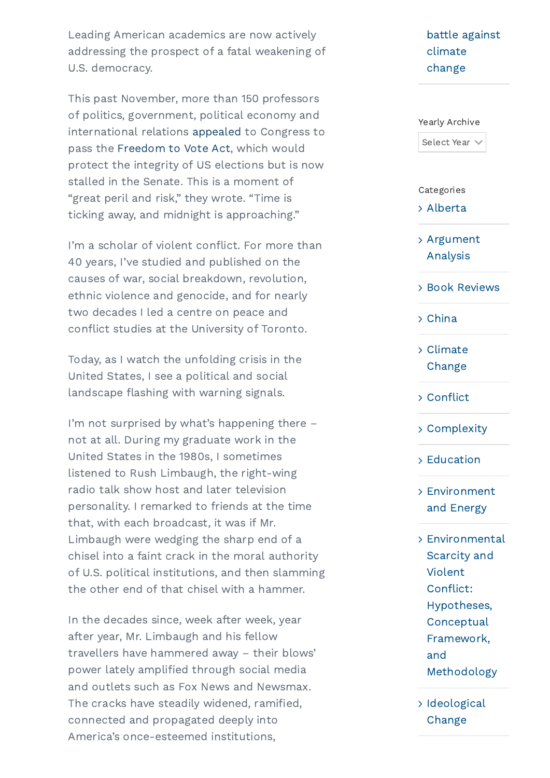Leading American academics are now actively addressing the prospect of a fatal weakening of U.S. democracy.

This past November, more than 150 professors of politics, government, political economy and international relations [appealed](https://can01.safelinks.protection.outlook.com/?url=https%3A%2F%2Fwww.axios.com%2Fmidnight-is-approaching-to-pass-voting-rights-protections-d3d8cb12-3b2c-4422-8eee-f60425265472.html&data=04%7C01%7CLJutras%40globeandmail.com%7C3f84cd1eaac546dd27bb08d9c59fa629%7C44376110425e46ab942e26c9518bfd03%7C1%7C0%7C637758112819131902%7CUnknown%7CTWFpbGZsb3d8eyJWIjoiMC4wLjAwMDAiLCJQIjoiV2luMzIiLCJBTiI6Ik1haWwiLCJXVCI6Mn0%3D%7C2000&sdata=u61H7OtYQWaGpivOnrfy8MUlJ6HL6cah1nyl8YxLHkU%3D&reserved=0) to Congress to pass the [Freedom](https://can01.safelinks.protection.outlook.com/?url=https%3A%2F%2Fwww.brennancenter.org%2Four-work%2Fresearch-reports%2Ffreedom-vote-act&data=04%7C01%7CLJutras%40globeandmail.com%7C3f84cd1eaac546dd27bb08d9c59fa629%7C44376110425e46ab942e26c9518bfd03%7C1%7C0%7C637758112819131902%7CUnknown%7CTWFpbGZsb3d8eyJWIjoiMC4wLjAwMDAiLCJQIjoiV2luMzIiLCJBTiI6Ik1haWwiLCJXVCI6Mn0%3D%7C2000&sdata=GvihVDwuaxEi2GG1s96iFS%2FTL1sC7MeApk6cIkHMCJI%3D&reserved=0) to Vote Act, which would protect the integrity of US elections but is now stalled in the Senate. This is a moment of "great peril and risk," they wrote. "Time is ticking away, and midnight is approaching."

Status connected with Thomas Homer-Dixon Connected with Thomas Homer-Dixon Status 2014 and Dixon Status 2014 and Dixon Status 2014 and Dixon Status 2014 and Dixon Status 2014 and Dixon Status 2014 and Dixon Status 2014 and I'm a scholar of violent conflict. For more than 40 years, I've studied and published on the causes of war, social breakdown, revolution, ethnic violence and genocide, and for nearly two decades I led a centre on peace and conflict studies at the University of Toronto.

United States, I see a political and social Today, as I watch the unfolding crisis in the landscape flashing with warning signals.

United States in the 1980s, I sometimes radio talk show host and later television  $B_1$  clicking to receive occasional updates from Thomas from Thomas from Thomas from Thomas from Thomas from Thomas from Thomas from Thomas from Thomas from Thomas from Thomas from Thomas from Thomas from Thomas from Tho  $\sim$  Denote once and with and manifold.  $\frac{1}{\sqrt{2}}$  chisel into a faint crack in the moral authority I'm not surprised by what's happening there – not at all. During my graduate work in the listened to Rush Limbaugh, the right-wing personality. I remarked to friends at the time that, with each broadcast, it was if Mr. Limbaugh were wedging the sharp end of a of U.S. political institutions, and then slamming the other end of that chisel with a hammer.

Search... power lately amplified through social media connected and propagated deeply into **Example 2022** Change<br>Almorice's anea estamed institutions In the decades since, week after week, year after year, Mr. Limbaugh and his fellow travellers have hammered away – their blows' and outlets such as Fox News and Newsmax. The cracks have steadily widened, ramified, [America](http://vibrantcontent.ca/)'s [once-este](https://homerdixon.com/privacy-policy)emed institutions,

## battle against [climate](https://homerdixon.com/canadas-thawing-permafrost-should-be-raising-alarm-bells-in-the-battle-against-climate-change/) change

#### Yearly Archive

Select Year

#### Categories

[Alberta](https://homerdixon.com/writing/general/alberta/)

[Argument](https://homerdixon.com/writing/academic/argument-analysis/) Analysis

Book [Reviews](https://homerdixon.com/writing/academic/book-reviews/)

[China](https://homerdixon.com/writing/general/china/)

Climate [Change](https://homerdixon.com/writing/general/climate-change/)

[Conflict](https://homerdixon.com/writing/combos/conflict/)

[Complexity](https://homerdixon.com/writing/combos/complexity/)

[Education](https://homerdixon.com/writing/general/education/)

## [Environment](https://homerdixon.com/writing/combos/environment-and-energy/) and Energy

- [Environmental](https://homerdixon.com/writing/academic/environmental-scarcity-and-violent-conflict-hypothesis-conceptual-framework-and-methodology/) Scarcity and Violent Conflict: Hypotheses, **Conceptual** Framework, and Methodology
- > [Ideological](https://homerdixon.com/writing/combos/ideological-change/) Change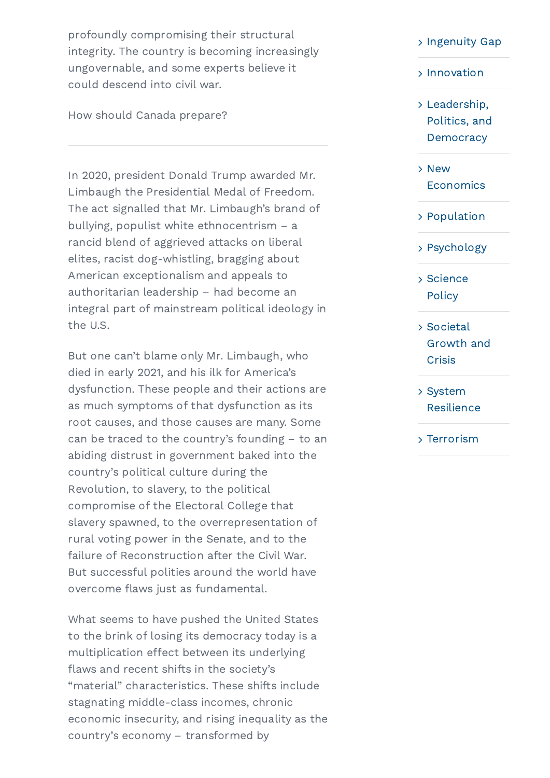profoundly compromising their structural integrity. The country is becoming increasingly ungovernable, and some experts believe it could descend into civil war.

How should Canada prepare?

In 2020, president Donald Trump awarded Mr. Limbaugh the Presidential Medal of Freedom. The act signalled that Mr. Limbaugh's brand of bullying, populist white ethnocentrism – a rancid blend of aggrieved attacks on liberal elites, racist dog-whistling, bragging about American exceptionalism and appeals to authoritarian leadership – had become an integral part of mainstream political ideology in the U.S.

died in early 2021, and his ilk for America's rom e abiding distrust in government baked into the Revolution, to slavery, to the political  $\mathbf{S}$  clicking 'Sign Up', you are accepting to receive occasional updates from Thomas  $\mathbf{S}$ Home radio jack as farraam information is safe and with any operation is safe and with any operation  $\mathcal{L}$ failure of Reconstruction after the Civil War. But one can't blame only Mr. Limbaugh, who dysfunction. These people and their actions are as much symptoms of that dysfunction as its root causes, and those causes are many. Some can be traced to the country's founding – to an country's political culture during the compromise of the Electoral College that slavery spawned, to the overrepresentation of rural voting power in the Senate, and to the But successful polities around the world have overcome flaws just as fundamental.

manapoint in the contractive and signing.<br>flaws and recent shifts in the society's economic insecurity, and rising inequality as the<br>Country's assessmy transformed by What seems to have pushed the United States to the brink of losing its democracy today is a multiplication effect between its underlying "material" characteristics. These shifts include stagnating middle-class incomes, chronic economic insecurity, and rising inequality as the [country](http://vibrantcontent.ca/)'s [economy](https://homerdixon.com/privacy-policy) – transformed by

#### > [Ingenuity](https://homerdixon.com/writing/combos/ingenuity-gap/) Gap

#### [Innovation](https://homerdixon.com/writing/combos/innovation/)

- Leadership, Politics, and **[Democracy](https://homerdixon.com/writing/general/leadership-politics-and-democracy/)**
- New **[Economics](https://homerdixon.com/writing/combos/new-economics/)**
- [Population](https://homerdixon.com/writing/general/population/)
- [Psychology](https://homerdixon.com/writing/general/psychology/)
- [Science](https://homerdixon.com/writing/general/science-policy/) **Policy**
- Stay connected with Thomas Homes Homes Homes Homes Homes Homes Homes Homes Homes Homes Homes Homes Homes Homes Homes Homes Homes Homes Homes Homes Homes Homes Homes Homes Homes Homes Homes Homes Homes Homes Homes Homes Hom Societal Growth and **Crisis** 
	- System [Resilience](https://homerdixon.com/writing/general/system-resilience/)
	- [Terrorism](https://homerdixon.com/writing/general/terrorism/)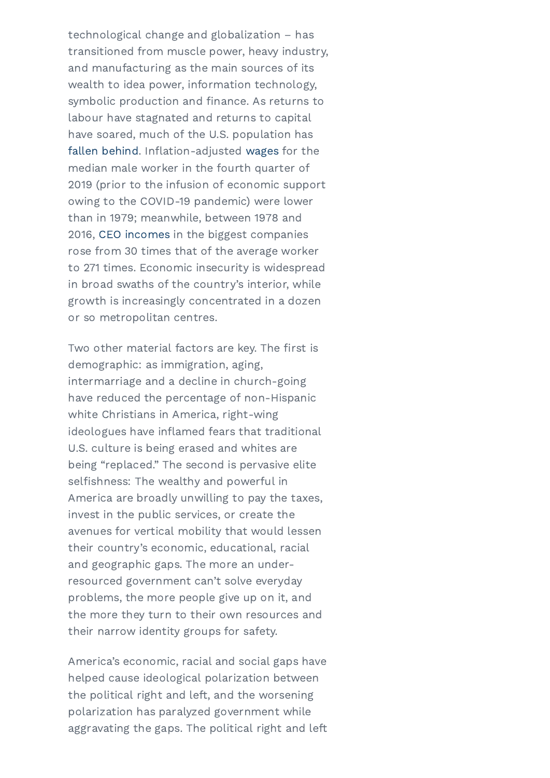technological change and globalization – has transitioned from muscle power, heavy industry, and manufacturing as the main sources of its wealth to idea power, information technology, symbolic production and finance. As returns to labour have stagnated and returns to capital have soared, much of the U.S. population has fallen [behind.](https://can01.safelinks.protection.outlook.com/?url=https%3A%2F%2Fsgp.fas.org%2Fcrs%2Fmisc%2FR45090.pdf&data=04%7C01%7CLJutras%40globeandmail.com%7C3f84cd1eaac546dd27bb08d9c59fa629%7C44376110425e46ab942e26c9518bfd03%7C1%7C0%7C637758112819131902%7CUnknown%7CTWFpbGZsb3d8eyJWIjoiMC4wLjAwMDAiLCJQIjoiV2luMzIiLCJBTiI6Ik1haWwiLCJXVCI6Mn0%3D%7C2000&sdata=2d39Hu%2BjtNuDhrp4HFmKDu4GwpmpwIN%2Fvs4jCvsO3i0%3D&reserved=0) Inflation-adjusted [wages](https://can01.safelinks.protection.outlook.com/?url=https%3A%2F%2Ffred.stlouisfed.org%2Fseries%2FLES1252881900Q&data=04%7C01%7CLJutras%40globeandmail.com%7C3f84cd1eaac546dd27bb08d9c59fa629%7C44376110425e46ab942e26c9518bfd03%7C1%7C0%7C637758112819131902%7CUnknown%7CTWFpbGZsb3d8eyJWIjoiMC4wLjAwMDAiLCJQIjoiV2luMzIiLCJBTiI6Ik1haWwiLCJXVCI6Mn0%3D%7C2000&sdata=utHq44JCV%2FUiM3op0%2BcDIv3NLr9hMZQkL433%2BRd56lM%3D&reserved=0) for the median male worker in the fourth quarter of 2019 (prior to the infusion of economic support owing to the COVID-19 pandemic) were lower than in 1979; meanwhile, between 1978 and 2016, CEO [incomes](https://can01.safelinks.protection.outlook.com/?url=https%3A%2F%2Fwww.epi.org%2Fpublication%2Fceo-pay-remains-high-relative-to-the-pay-of-typical-workers-and-high-wage-earners%2F&data=04%7C01%7CLJutras%40globeandmail.com%7C3f84cd1eaac546dd27bb08d9c59fa629%7C44376110425e46ab942e26c9518bfd03%7C1%7C0%7C637758112819131902%7CUnknown%7CTWFpbGZsb3d8eyJWIjoiMC4wLjAwMDAiLCJQIjoiV2luMzIiLCJBTiI6Ik1haWwiLCJXVCI6Mn0%3D%7C2000&sdata=7eiZJPj3jGIAqtH2cKD%2B4v7yfriQ2qdxHqwdRqED6dw%3D&reserved=0) in the biggest companies rose from 30 times that of the average worker to 271 times. Economic insecurity is widespread in broad swaths of the country's interior, while growth is increasingly concentrated in a dozen or so metropolitan centres.

Two other material factors are key. The first is asmographier as miningration, aging,<br>intermarriage and a decline in church-going First white Christians in America, right-wing Last being "replaced." The second is pervasive elite Email America are broadly unwilling to pay the taxes, resourced government can't solve everyday problems, the more people give up on it, and the more they turn to their own resources and their country's economic, educational, racial demographic: as immigration, aging, have reduced the percentage of non-Hispanic ideologues have inflamed fears that traditional U.S. culture is being erased and whites are selfishness: The wealthy and powerful in invest in the public services, or create the avenues for vertical mobility that would lessen and geographic gaps. The more an undertheir narrow identity groups for safety.

America's economic, racial and social gaps have aggravating the gaps. The political right and left helped cause ideological polarization between the political right and left, and the worsening polarization has paralyzed government while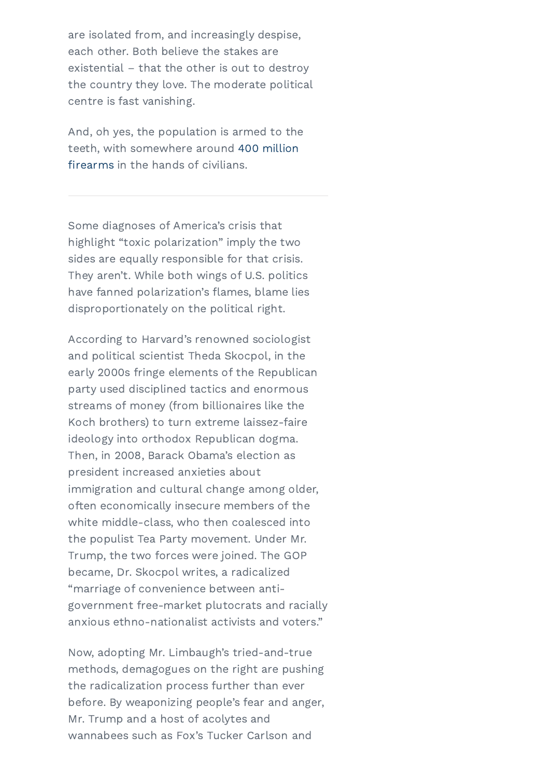are isolated from, and increasingly despise, each other. Both believe the stakes are existential – that the other is out to destroy the country they love. The moderate political centre is fast vanishing.

And, oh yes, the population is armed to the teeth, with [somewhere](https://can01.safelinks.protection.outlook.com/?url=https%3A%2F%2Fwww.washingtonpost.com%2Fnews%2Fwonk%2Fwp%2F2018%2F06%2F19%2Fthere-are-more-guns-than-people-in-the-united-states-according-to-a-new-study-of-global-firearm-ownership%2F&data=04%7C01%7CLJutras%40globeandmail.com%7C3f84cd1eaac546dd27bb08d9c59fa629%7C44376110425e46ab942e26c9518bfd03%7C1%7C0%7C637758112819131902%7CUnknown%7CTWFpbGZsb3d8eyJWIjoiMC4wLjAwMDAiLCJQIjoiV2luMzIiLCJBTiI6Ik1haWwiLCJXVCI6Mn0%3D%7C2000&sdata=wAbfO2EOOAyZTsekeUkDc07IFWyyc%2BBi%2BSSRtww%2BhmQ%3D&reserved=0) around 400 million firearms in the hands of civilians.

Some diagnoses of America's crisis that highlight "toxic polarization" imply the two sides are equally responsible for that crisis. They aren't. While both wings of U.S. politics have fanned polarization's flames, blame lies disproportionately on the political right.

According to Harvard's renowned sociologist early 2000s fringe elements of the Republican First Koch brothers) to turn extreme laissez-faire Then, in 2008, Barack Obama's election as immigration and cultural change among older, By clicking 'Sign Up', you are accepting to receive occasional updates from Thomas "marriage of convenience between anti-Homer-Dixon. Your personal information is safe and will not be shared with anyone. You government free-market plutocrats and racially Trump, the two forces were joined. The GOP and political scientist Theda Skocpol, in the party used disciplined tactics and enormous streams of money (from billionaires like the ideology into orthodox Republican dogma. president increased anxieties about often economically insecure members of the white middle-class, who then coalesced into the populist Tea Party movement. Under Mr. became, Dr. Skocpol writes, a radicalized anxious ethno-nationalist activists and voters."

methods, demagogues on the right are pushing Mr. Trump and a host of acolytes and with trump and a nost of acotytes and<br>[wannab](http://vibrantcontent.ca/)ees [such](https://homerdixon.com/privacy-policy) as Fox's Tucker Carlson and Now, adopting Mr. Limbaugh's tried-and-true the radicalization process further than ever before. By weaponizing people's fear and anger,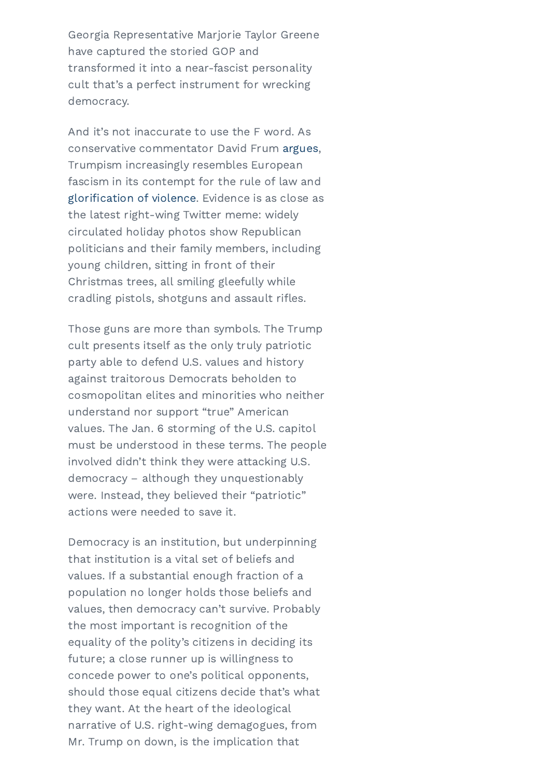Georgia Representative Marjorie Taylor Greene have captured the storied GOP and transformed it into a near-fascist personality cult that's a perfect instrument for wrecking democracy.

And it's not inaccurate to use the F word. As conservative commentator David Frum [argues,](https://can01.safelinks.protection.outlook.com/?url=https%3A%2F%2Fwww.theatlantic.com%2Fideas%2Farchive%2F2021%2F07%2Ftheres-word-what-trumpism-becoming%2F619418%2F&data=04%7C01%7CLJutras%40globeandmail.com%7C3f84cd1eaac546dd27bb08d9c59fa629%7C44376110425e46ab942e26c9518bfd03%7C1%7C0%7C637758112819131902%7CUnknown%7CTWFpbGZsb3d8eyJWIjoiMC4wLjAwMDAiLCJQIjoiV2luMzIiLCJBTiI6Ik1haWwiLCJXVCI6Mn0%3D%7C2000&sdata=N8LBReQxSQwK%2FDHF%2BRo1FevM4881bx2Xgk5zQe6GYMw%3D&reserved=0) Trumpism increasingly resembles European fascism in its contempt for the rule of law and [glorification](https://can01.safelinks.protection.outlook.com/?url=https%3A%2F%2Fwww.nytimes.com%2F2021%2F11%2F12%2Fus%2Fpolitics%2Frepublican-violent-rhetoric.html&data=04%7C01%7CLJutras%40globeandmail.com%7C3f84cd1eaac546dd27bb08d9c59fa629%7C44376110425e46ab942e26c9518bfd03%7C1%7C0%7C637758112819131902%7CUnknown%7CTWFpbGZsb3d8eyJWIjoiMC4wLjAwMDAiLCJQIjoiV2luMzIiLCJBTiI6Ik1haWwiLCJXVCI6Mn0%3D%7C2000&sdata=npva5HnTykTfLPOsqLrbalZY0Kml7rzc4%2BjLgcn%2BNUI%3D&reserved=0) of violence. Evidence is as close as the latest right-wing Twitter meme: widely circulated holiday photos show Republican politicians and their family members, including young children, sitting in front of their Christmas trees, all smiling gleefully while cradling pistols, shotguns and assault rifles.

State are there than symbols. The reamp<br>cult presents itself as the only truly patriotic .<br>against traitorous Democrats beholden to understand nor support "true" American involved didn't think they were attacking U.S. were. Instead, they believed their "patriotic" Those guns are more than symbols. The Trump party able to defend U.S. values and history cosmopolitan elites and minorities who neither values. The Jan. 6 storming of the U.S. capitol must be understood in these terms. The people democracy – although they unquestionably actions were needed to save it.

 $B_{\rm F}$  is a substantial one agriculation or a population no longer holds those beliefs and values, then democracy can't survive. Probably future; a close runner up is willingness to iaoi piin narrative of U.S. right-wing demagogues, from Democracy is an institution, but underpinning that institution is a vital set of beliefs and values. If a substantial enough fraction of a the most important is recognition of the equality of the polity's citizens in deciding its concede power to one's political opponents, should those equal citizens decide that's what they want. At the heart of the ideological Mr. Trump on down, is the implication that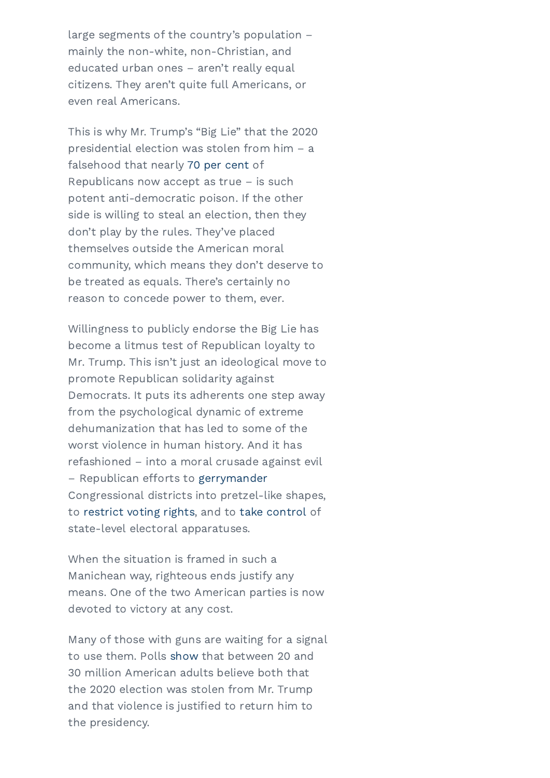large segments of the country's population – mainly the non-white, non-Christian, and educated urban ones – aren't really equal citizens. They aren't quite full Americans, or even real Americans.

This is why Mr. Trump's "Big Lie" that the 2020 presidential election was stolen from him – a falsehood that nearly 70 per [cent](https://can01.safelinks.protection.outlook.com/?url=https%3A%2F%2Fwww.prri.org%2Fresearch%2Fcompeting-visions-of-america-an-evolving-identity-or-a-culture-under-attack%2F&data=04%7C01%7CLJutras%40globeandmail.com%7C3f84cd1eaac546dd27bb08d9c59fa629%7C44376110425e46ab942e26c9518bfd03%7C1%7C0%7C637758112819131902%7CUnknown%7CTWFpbGZsb3d8eyJWIjoiMC4wLjAwMDAiLCJQIjoiV2luMzIiLCJBTiI6Ik1haWwiLCJXVCI6Mn0%3D%7C2000&sdata=PIsG5DedpL9L11sccyTxtH9fnVOL%2BbmuP4mv0Hn6Nqg%3D&reserved=0) of Republicans now accept as true – is such potent anti-democratic poison. If the other side is willing to steal an election, then they don't play by the rules. They've placed themselves outside the American moral community, which means they don't deserve to be treated as equals. There's certainly no reason to concede power to them, ever.

State with Thomas Homer-Dixon Connected With Thomas Homer-Dixon III and the Dixon Dixon Dixon Dixon Dixon Dixon Dixon Dixon Dixon Dixon Dixon Dixon Dixon Dixon Dixon Dixon Dixon Dixon Dixon Dixon Dixon Dixon Dixon Dixon Di promote Republican solidarity against from the psychological dynamic of extreme refashioned – into a moral crusade against evil Congressional districts into pretzel-like shapes, Willingness to publicly endorse the Big Lie has Mr. Trump. This isn't just an ideological move to Democrats. It puts its adherents one step away dehumanization that has led to some of the worst violence in human history. And it has – Republican efforts to [gerrymander](https://can01.safelinks.protection.outlook.com/?url=https%3A%2F%2Fwww.nytimes.com%2F2021%2F11%2F15%2Fus%2Fpolitics%2Frepublicans-2022-redistricting-maps.html%3Fsmid%3Dem-share&data=04%7C01%7CLJutras%40globeandmail.com%7C3f84cd1eaac546dd27bb08d9c59fa629%7C44376110425e46ab942e26c9518bfd03%7C1%7C0%7C637758112819131902%7CUnknown%7CTWFpbGZsb3d8eyJWIjoiMC4wLjAwMDAiLCJQIjoiV2luMzIiLCJBTiI6Ik1haWwiLCJXVCI6Mn0%3D%7C2000&sdata=knu9PlI7Zw9IFcuXfczki2CIhNIUW3ZbGNCrWDdp3oQ%3D&reserved=0) to [restrict](https://can01.safelinks.protection.outlook.com/?url=https%3A%2F%2Fwww.brennancenter.org%2Four-work%2Fresearch-reports%2Fvoting-laws-roundup-october-2021&data=04%7C01%7CLJutras%40globeandmail.com%7C3f84cd1eaac546dd27bb08d9c59fa629%7C44376110425e46ab942e26c9518bfd03%7C1%7C0%7C637758112819288142%7CUnknown%7CTWFpbGZsb3d8eyJWIjoiMC4wLjAwMDAiLCJQIjoiV2luMzIiLCJBTiI6Ik1haWwiLCJXVCI6Mn0%3D%7C2000&sdata=XDGmlGd38xMfVDEXXKLMdHnqsY9CvGfG9RAkpU5uoZg%3D&reserved=0) voting rights, and to take [control](https://can01.safelinks.protection.outlook.com/?url=https%3A%2F%2Fwww.nytimes.com%2F2021%2F03%2F24%2Fus%2Fpolitics%2Frepublicans-election-laws.html&data=04%7C01%7CLJutras%40globeandmail.com%7C3f84cd1eaac546dd27bb08d9c59fa629%7C44376110425e46ab942e26c9518bfd03%7C1%7C0%7C637758112819288142%7CUnknown%7CTWFpbGZsb3d8eyJWIjoiMC4wLjAwMDAiLCJQIjoiV2luMzIiLCJBTiI6Ik1haWwiLCJXVCI6Mn0%3D%7C2000&sdata=8hJ9BsxpikKcks0eLI3n9Puanzu0oc%2F7y%2B6iLPFSvEg%3D&reserved=0) of state-level electoral apparatuses.

 $B_1$  are accepting to  $B_2$  and  $B_3$  are  $B_4$  updates from Thomas from Thomas from Thomas from Thomas from Thomas from Thomas from Thomas from Thomas from Thomas from Thomas from Thomas from Thomas from Thomas from Tho means. One of the two American parties is now devoted to victory at any cost. When the situation is framed in such a Manichean way, righteous ends justify any

to use them. Polis show that between 20 and the presidency. the presidency. The content of  $\mathcal{P}$  is a policy policy  $\mathcal{P}$  is a policy policy policy  $\mathcal{P}$  is a policy policy of  $\mathcal{P}$  is a policy of  $\mathcal{P}$  is a policy of  $\mathcal{P}$  is a policy of  $\mathcal{P}$  is a policy of Many of those with guns are waiting for a signal to use them. Polls [show](https://can01.safelinks.protection.outlook.com/?url=https%3A%2F%2Fwww.theatlantic.com%2Fmagazine%2Farchive%2F2022%2F01%2Fjanuary-6-insurrection-trump-coup-2024-election%2F620843%2F&data=04%7C01%7CLJutras%40globeandmail.com%7C3f84cd1eaac546dd27bb08d9c59fa629%7C44376110425e46ab942e26c9518bfd03%7C1%7C0%7C637758112819288142%7CUnknown%7CTWFpbGZsb3d8eyJWIjoiMC4wLjAwMDAiLCJQIjoiV2luMzIiLCJBTiI6Ik1haWwiLCJXVCI6Mn0%3D%7C2000&sdata=68iCqRUgbv%2B8aeTWhyVwT6CWbQ%2F6kkXAXwNoK%2B8xO7c%3D&reserved=0) that between 20 and 30 million American adults believe both that the 2020 election was stolen from Mr. Trump and that violence is justified to return him to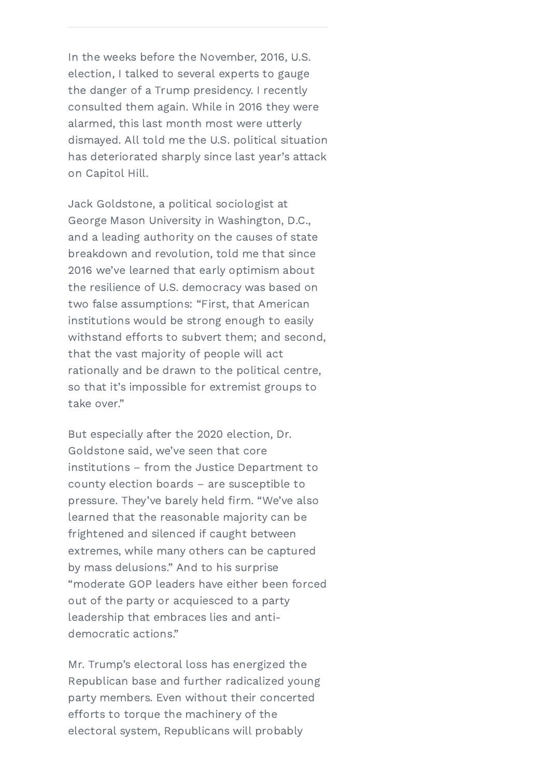In the weeks before the November, 2016, U.S. election, I talked to several experts to gauge the danger of a Trump presidency. I recently consulted them again. While in 2016 they were alarmed, this last month most were utterly dismayed. All told me the U.S. political situation has deteriorated sharply since last year's attack on Capitol Hill.

withstand efforts to subvert them; and second,<br>that the vest mejority of nearle will get rationally and be drawn to the political centre, Jack Goldstone, a political sociologist at George Mason University in Washington, D.C., and a leading authority on the causes of state breakdown and revolution, told me that since 2016 we've learned that early optimism about the resilience of U.S. democracy was based on two false assumptions: "First, that American institutions would be strong enough to easily that the vast majority of people will act so that it's impossible for extremist groups to take over."

Last institutions – from the Justice Department to pupue By clicking 'Sign Up', you are accepting to receive occasional updates from Thomas "moderate GOP leaders have either been forced out of the party or acquiesced to a party  $\frac{1}{2}$  leadership that embraces lies and antiextremes, while many others can be captured But especially after the 2020 election, Dr. Goldstone said, we've seen that core county election boards – are susceptible to pressure. They've barely held firm. "We've also learned that the reasonable majority can be frightened and silenced if caught between by mass delusions." And to his surprise democratic actions."

Mr. Trump's electoral loss has energized the efforts to torque the machinery of the [electora](http://vibrantcontent.ca/)l [system,](https://homerdixon.com/privacy-policy) Republicans will probably Republican base and further radicalized young party members. Even without their concerted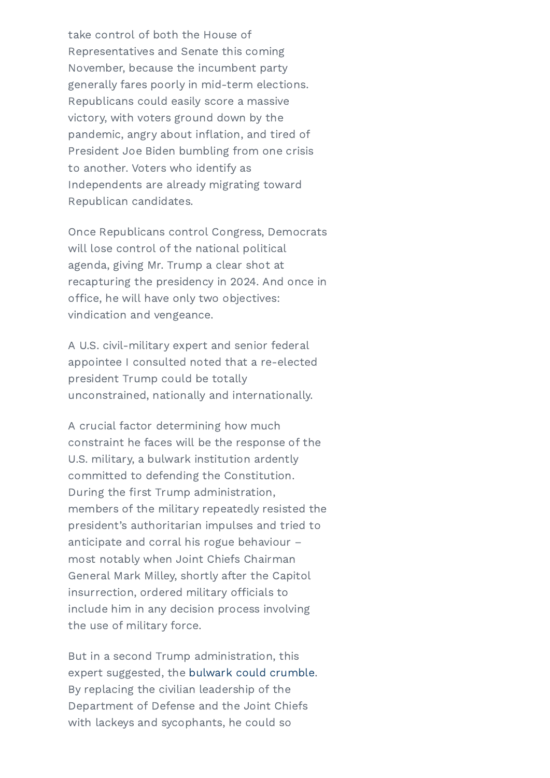take control of both the House of Representatives and Senate this coming November, because the incumbent party generally fares poorly in mid-term elections. Republicans could easily score a massive victory, with voters ground down by the pandemic, angry about inflation, and tired of President Joe Biden bumbling from one crisis to another. Voters who identify as Independents are already migrating toward Republican candidates.

Once Republicans control Congress, Democrats will lose control of the national political agenda, giving Mr. Trump a clear shot at recapturing the presidency in 2024. And once in office, he will have only two objectives: vindication and vengeance.

A U.S. civil-military expert and senior federal appointee I consulted noted that a re-elected president Trump could be totally unconstrained, nationally and internationally.

U.S. military, a bulwark institution ardently During the first Trump administration, at many milley, onor by are acception throughout insurrection, ordered military officials to include him in any decision process involving Iario di A crucial factor determining how much constraint he faces will be the response of the committed to defending the Constitution. members of the military repeatedly resisted the president's authoritarian impulses and tried to anticipate and corral his rogue behaviour – most notably when Joint Chiefs Chairman General Mark Milley, shortly after the Capitol the use of military force.

BUL III a Second Trump administration, this with lackeys and sycophants, he could so But in a second Trump administration, this expert suggested, the bulwark could [crumble.](https://can01.safelinks.protection.outlook.com/?url=https%3A%2F%2Fwww.washingtonpost.com%2Fopinions%2F2021%2F12%2F17%2Featon-taguba-anderson-generals-military%2F&data=04%7C01%7CLJutras%40globeandmail.com%7C3f84cd1eaac546dd27bb08d9c59fa629%7C44376110425e46ab942e26c9518bfd03%7C1%7C0%7C637758112819288142%7CUnknown%7CTWFpbGZsb3d8eyJWIjoiMC4wLjAwMDAiLCJQIjoiV2luMzIiLCJBTiI6Ik1haWwiLCJXVCI6Mn0%3D%7C2000&sdata=9wUPOoo04tcXFAYGVSHzRaLhR6N9oZc3RM8H6z%2FRzXA%3D&reserved=0) By replacing the civilian leadership of the Department of Defense and the Joint Chiefs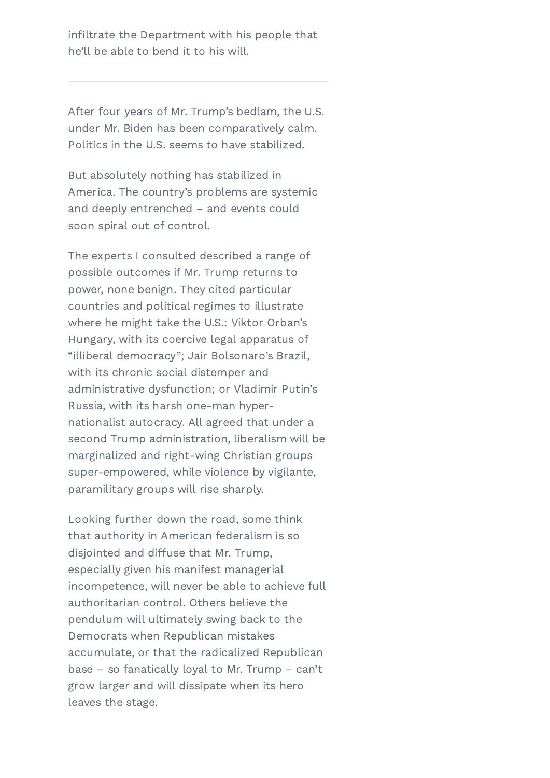infiltrate the Department with his people that he'll be able to bend it to his will.

After four years of Mr. Trump's bedlam, the U.S. under Mr. Biden has been comparatively calm. Politics in the U.S. seems to have stabilized.

But absolutely nothing has stabilized in America. The country's problems are systemic and deeply entrenched – and events could soon spiral out of control.

Stay connected with Thomas Homer-Dixon Hungary, with its coercive legal apparatus of with its chronic social distemper and First nationalist autocracy. All agreed that under a marginalized and right-wing Christian groups paramilitary groups will rise sharply. The experts I consulted described a range of possible outcomes if Mr. Trump returns to power, none benign. They cited particular countries and political regimes to illustrate where he might take the U.S.: Viktor Orban's "illiberal democracy"; Jair Bolsonaro's Brazil, administrative dysfunction; or Vladimir Putin's Russia, with its harsh one-man hypersecond Trump administration, liberalism will be super-empowered, while violence by vigilante,

incompetence, will never be able to achieve full authoritarian control. Others believe the may be a serious control of the angle of the serious control of the serious control of the serious control of the serious control of the serious control of the serious control of the serious control of the serious control base – so fanatically loyal to Mr. Trump – can't disiointed and diffuse that Mr. Trump, Looking further down the road, some think that authority in American federalism is so especially given his manifest managerial pendulum will ultimately swing back to the Democrats when Republican mistakes accumulate, or that the radicalized Republican grow larger and will dissipate when its hero leaves the stage.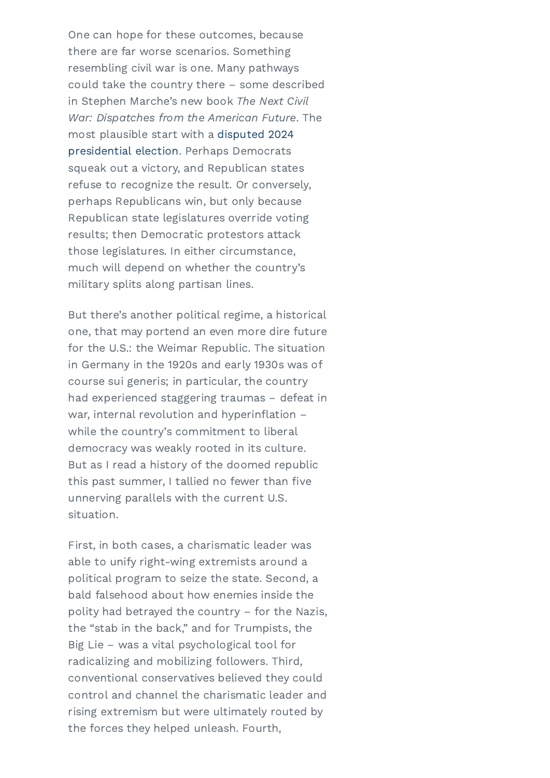One can hope for these outcomes, because there are far worse scenarios. Something resembling civil war is one. Many pathways could take the country there – some described in Stephen Marche's new book The Next Civil War: Dispatches from the American Future. The most plausible start with a disputed 2024 [presidential](https://can01.safelinks.protection.outlook.com/?url=https%3A%2F%2Fwww.washingtonpost.com%2Fopinions%2F2021%2F09%2F23%2Frobert-kagan-constitutional-crisis%2F&data=04%7C01%7CLJutras%40globeandmail.com%7C3f84cd1eaac546dd27bb08d9c59fa629%7C44376110425e46ab942e26c9518bfd03%7C1%7C0%7C637758112819288142%7CUnknown%7CTWFpbGZsb3d8eyJWIjoiMC4wLjAwMDAiLCJQIjoiV2luMzIiLCJBTiI6Ik1haWwiLCJXVCI6Mn0%3D%7C2000&sdata=37PsbIOVOeT5nMlZGiQJ52HJ6ejedi4zFcQee0i%2BXOg%3D&reserved=0) election. Perhaps Democrats squeak out a victory, and Republican states refuse to recognize the result. Or conversely, perhaps Republicans win, but only because Republican state legislatures override voting results; then Democratic protestors attack those legislatures. In either circumstance, much will depend on whether the country's military splits along partisan lines.

one, that may portend an even more dire ruture<br>for the U.S.: the Weimar Republic. The situation m demany in the relied and carry reced mad<br>course sui generis: in particular, the country war, internal revolution and hyperinflation –  $B$ ut as I read a history of the doomed republic Email unnerving parallels with the current U.S. But there's another political regime, a historical one, that may portend an even more dire future in Germany in the 1920s and early 1930s was of had experienced staggering traumas – defeat in while the country's commitment to liberal democracy was weakly rooted in its culture. this past summer, I tallied no fewer than five situation.

political program to seize the state. Second, a bald falsehood about how enemies inside the polity had betrayed the country – for the Nazis, radicalizing and mobilizing followers. Third, First, in both cases, a charismatic leader was © 2022 Thomas Homer-Dixon | All Rights Reserved | Website by the forces they helped unleash. Fourth, able to unify right-wing extremists around a the "stab in the back," and for Trumpists, the Big Lie – was a vital psychological tool for conventional conservatives believed they could control and channel the charismatic leader and rising extremism but were ultimately routed by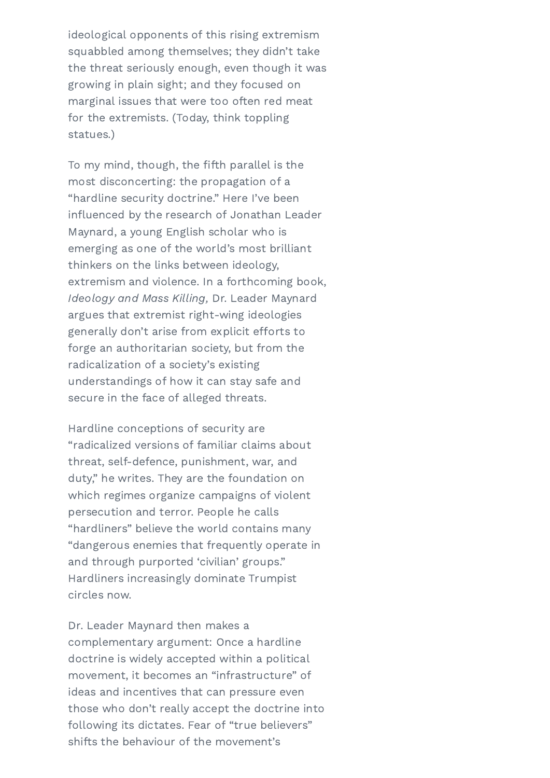ideological opponents of this rising extremism squabbled among themselves; they didn't take the threat seriously enough, even though it was growing in plain sight; and they focused on marginal issues that were too often red meat for the extremists. (Today, think toppling statues.)

generally don't anse from explicit errorts to<br>forge an authoritarian society, but from the Name understandings of how it can stay safe and To my mind, though, the fifth parallel is the most disconcerting: the propagation of a "hardline security doctrine." Here I've been influenced by the research of Jonathan Leader Maynard, a young English scholar who is emerging as one of the world's most brilliant thinkers on the links between ideology, extremism and violence. In a forthcoming book, Ideology and Mass Killing, Dr. Leader Maynard argues that extremist right-wing ideologies generally don't arise from explicit efforts to radicalization of a society's existing secure in the face of alleged threats.

threat, self-defence, punishment, war, and which regimes organize campaigns of violent Hardliners increasingly dominate Trumpist Homes-Dixon. Your personal information is safe and will not be shared with any one. You have shared with any one. You  $\lq$  dangerous enemies that frequently operate in Hardline conceptions of security are "radicalized versions of familiar claims about duty," he writes. They are the foundation on persecution and terror. People he calls "hardliners" believe the world contains many and through purported 'civilian' groups." circles now.

doctrine is widely accepted within a political following its dictates. Fear of "true believers" Dr. Leader Maynard then makes a complementary argument: Once a hardline movement, it becomes an "infrastructure" of ideas and incentives that can pressure even those who don't really accept the doctrine into shifts the behaviour of the movement's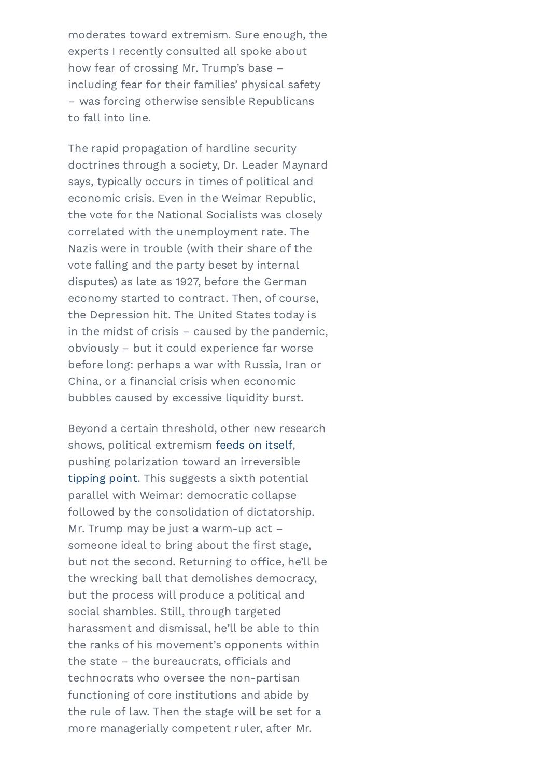moderates toward extremism. Sure enough, the experts I recently consulted all spoke about how fear of crossing Mr. Trump's base – including fear for their families' physical safety – was forcing otherwise sensible Republicans to fall into line.

m the midst of crisis – caused by the pandernic,<br>obviously – but it could experience far worse Name China, or a financial crisis when economic The rapid propagation of hardline security doctrines through a society, Dr. Leader Maynard says, typically occurs in times of political and economic crisis. Even in the Weimar Republic, the vote for the National Socialists was closely correlated with the unemployment rate. The Nazis were in trouble (with their share of the vote falling and the party beset by internal disputes) as late as 1927, before the German economy started to contract. Then, of course, the Depression hit. The United States today is in the midst of crisis – caused by the pandemic, before long: perhaps a war with Russia, Iran or bubbles caused by excessive liquidity burst.

pushing polarization toward an irreversible parallel with Weimar: democratic collapse the wrecking ball that demolishes democracy, but the process will produce a political and social shambles. Still, through targeted the state – the bureaucrats, officials and someone ideal to bring about the first stage, more ma[nagerially](https://homerdixon.com/privacy-policy) competent ruler, after Mr. Beyond a certain threshold, other new research shows, political extremism [feeds](https://can01.safelinks.protection.outlook.com/?url=https%3A%2F%2Fwww.pnas.org%2Fcontent%2F118%2F50%2Fe2102149118&data=04%7C01%7CLJutras%40globeandmail.com%7C3f84cd1eaac546dd27bb08d9c59fa629%7C44376110425e46ab942e26c9518bfd03%7C1%7C0%7C637758112819288142%7CUnknown%7CTWFpbGZsb3d8eyJWIjoiMC4wLjAwMDAiLCJQIjoiV2luMzIiLCJBTiI6Ik1haWwiLCJXVCI6Mn0%3D%7C2000&sdata=LPFLCvKRbF89xFV0RX7Q1uVeSE4yRhFR3pyzKJN5guc%3D&reserved=0) on itself, [tipping](https://can01.safelinks.protection.outlook.com/?url=https%3A%2F%2Fwww.pnas.org%2Fcontent%2F118%2F50%2Fe2102144118&data=04%7C01%7CLJutras%40globeandmail.com%7C3f84cd1eaac546dd27bb08d9c59fa629%7C44376110425e46ab942e26c9518bfd03%7C1%7C0%7C637758112819288142%7CUnknown%7CTWFpbGZsb3d8eyJWIjoiMC4wLjAwMDAiLCJQIjoiV2luMzIiLCJBTiI6Ik1haWwiLCJXVCI6Mn0%3D%7C2000&sdata=8rDgCS4kiJrs6EpvdIg2JoBUBOsZBzzscIOMh%2FO4YL4%3D&reserved=0) point. This suggests a sixth potential followed by the consolidation of dictatorship. Mr. Trump may be just a warm-up act – but not the second. Returning to office, he'll be harassment and dismissal, he'll be able to thin the ranks of his movement's opponents within technocrats who oversee the non-partisan functioning of core institutions and abide by the rule of law. Then the stage will be set for a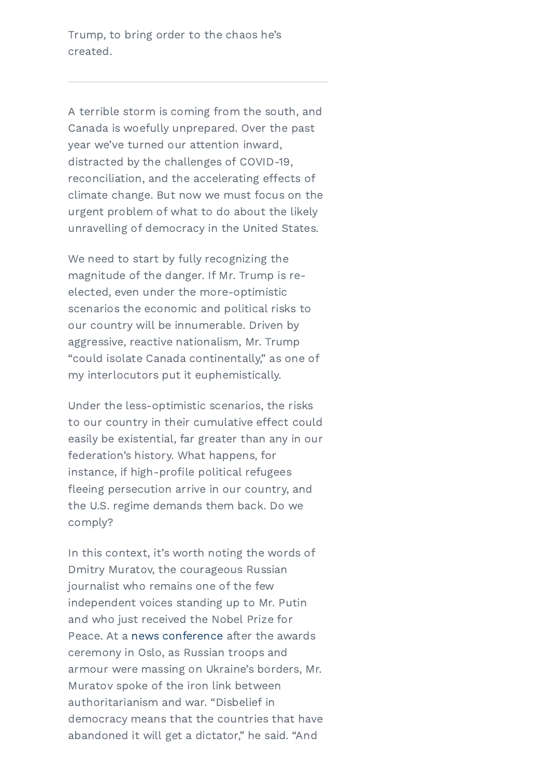Trump, to bring order to the chaos he's created.

A terrible storm is coming from the south, and Canada is woefully unprepared. Over the past year we've turned our attention inward, distracted by the challenges of COVID-19, reconciliation, and the accelerating effects of climate change. But now we must focus on the urgent problem of what to do about the likely unravelling of democracy in the United States.

aggressive, reactive nationalism, Mr. Trump my interlocutors put it euphemistically. We need to start by fully recognizing the magnitude of the danger. If Mr. Trump is reelected, even under the more-optimistic scenarios the economic and political risks to our country will be innumerable. Driven by "could isolate Canada continentally," as one of

First Control of the Second Second Second Second Second Second Second Second Second Second Second Second Second Second Second Second Second Second Second Second Second Second Second Second Second Second Second Second Secon federation's history. What happens, for fleeing persecution arrive in our country, and Under the less-optimistic scenarios, the risks to our country in their cumulative effect could easily be existential, far greater than any in our instance, if high-profile political refugees the U.S. regime demands them back. Do we comply?

iournalist who remains one of the few Homer-Dixon. Your personal information is safe and will not be shared with anyone. You may up to million at any search..., are considered to the component of the control of the control of the control of the control of the control of the control of the control of the control of the control of the control of the control of the control In this context, it's worth noting the words of democracy means that the countries that have uemocracy means that the countries that have<br>[abandon](http://vibrantcontent.ca/)ed it will get a dictator." he said. "And Dmitry Muratov, the courageous Russian independent voices standing up to Mr. Putin and who just received the Nobel Prize for Peace. At a news [conference](https://can01.safelinks.protection.outlook.com/?url=https%3A%2F%2Fwww.nytimes.com%2F2021%2F12%2F09%2Fworld%2Feurope%2Frussian-dimitri-muratov-nobel.html&data=04%7C01%7CLJutras%40globeandmail.com%7C3f84cd1eaac546dd27bb08d9c59fa629%7C44376110425e46ab942e26c9518bfd03%7C1%7C0%7C637758112819288142%7CUnknown%7CTWFpbGZsb3d8eyJWIjoiMC4wLjAwMDAiLCJQIjoiV2luMzIiLCJBTiI6Ik1haWwiLCJXVCI6Mn0%3D%7C2000&sdata=mb1bvHTIJpd%2Fj4Af%2BN4%2Bh2gzzfEwuV%2BZ4ds6VDlCTro%3D&reserved=0) after the awards ceremony in Oslo, as Russian troops and Muratov spoke of the iron link between authoritarianism and war. "Disbelief in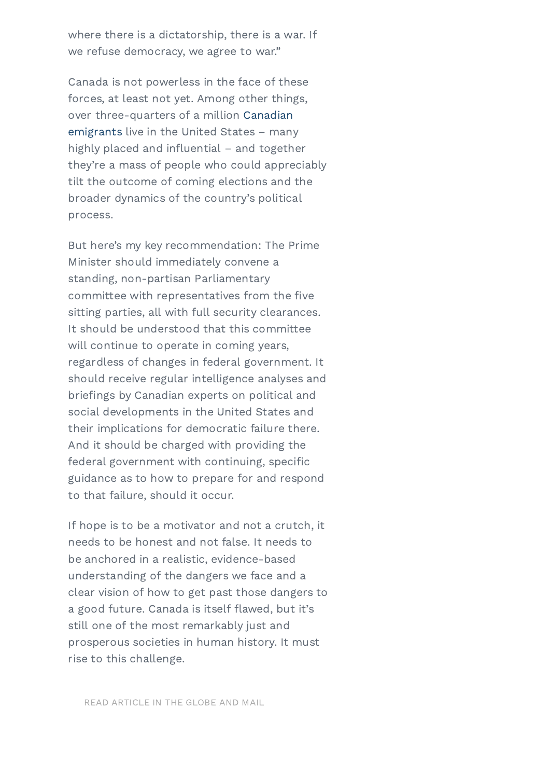where there is a dictatorship, there is a war. If we refuse democracy, we agree to war."

Canada is not powerless in the face of these forces, at least not yet. Among other things, over [three-quarters](https://can01.safelinks.protection.outlook.com/?url=https%3A%2F%2Fwww.migrationpolicy.org%2Farticle%2Fcanadian-immigrants-united-states-2016&data=04%7C01%7CLJutras%40globeandmail.com%7C3f84cd1eaac546dd27bb08d9c59fa629%7C44376110425e46ab942e26c9518bfd03%7C1%7C0%7C637758112819288142%7CUnknown%7CTWFpbGZsb3d8eyJWIjoiMC4wLjAwMDAiLCJQIjoiV2luMzIiLCJBTiI6Ik1haWwiLCJXVCI6Mn0%3D%7C2000&sdata=kR04USa2svfyghvv84sx%2FfsYsM%2FpF8zwA3Hv7Tzlhlw%3D&reserved=0) of a million Canadian emigrants live in the United States – many highly placed and influential – and together they're a mass of people who could appreciably tilt the outcome of coming elections and the broader dynamics of the country's political process.

Status and the Committee with Thomas Homes Homes Homes Homes Homes Homes Homes Homes Homes Homes Homes Homes H<br>Will continue to operate in coming years, should receive regular intelligence analyses and social developments in the United States and federal government with continuing, specific But here's my key recommendation: The Prime Minister should immediately convene a standing, non-partisan Parliamentary committee with representatives from the five sitting parties, all with full security clearances. It should be understood that this committee regardless of changes in federal government. It briefings by Canadian experts on political and their implications for democratic failure there. And it should be charged with providing the guidance as to how to prepare for and respond to that failure, should it occur.

By clienting the data by cliential updates from Thomas from Thomas from Thomas from Thomas from Thomas from Thomas from Thomas from Thomas from Thomas from Thomas from Thomas from Thomas from Thomas from Thomas from Thomas clear vision of how to get past those dangers to a good future. Canada is itself flawed, but it's rise to this challenge. The search of the search of the search of the search of the search. neede to be noncet and not rated removed<br>be anchored in a realistic, evidence-based If hope is to be a motivator and not a crutch, it needs to be honest and not false. It needs to understanding of the dangers we face and a still one of the most remarkably just and prosperous societies in human history. It must